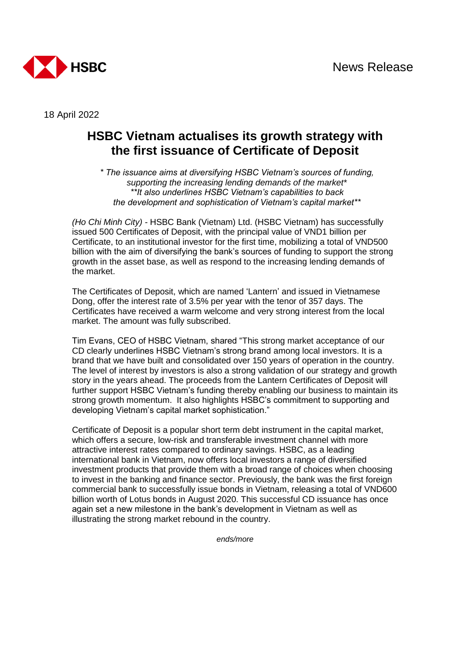

18 April 2022

## **HSBC Vietnam actualises its growth strategy with the first issuance of Certificate of Deposit**

*\* The issuance aims at diversifying HSBC Vietnam's sources of funding, supporting the increasing lending demands of the market\* \*\*It also underlines HSBC Vietnam's capabilities to back the development and sophistication of Vietnam's capital market\*\** 

*(Ho Chi Minh City) -* HSBC Bank (Vietnam) Ltd. (HSBC Vietnam) has successfully issued 500 Certificates of Deposit, with the principal value of VND1 billion per Certificate, to an institutional investor for the first time, mobilizing a total of VND500 billion with the aim of diversifying the bank's sources of funding to support the strong growth in the asset base, as well as respond to the increasing lending demands of the market.

The Certificates of Deposit, which are named 'Lantern' and issued in Vietnamese Dong, offer the interest rate of 3.5% per year with the tenor of 357 days. The Certificates have received a warm welcome and very strong interest from the local market. The amount was fully subscribed.

Tim Evans, CEO of HSBC Vietnam, shared "This strong market acceptance of our CD clearly underlines HSBC Vietnam's strong brand among local investors. It is a brand that we have built and consolidated over 150 years of operation in the country. The level of interest by investors is also a strong validation of our strategy and growth story in the years ahead. The proceeds from the Lantern Certificates of Deposit will further support HSBC Vietnam's funding thereby enabling our business to maintain its strong growth momentum. It also highlights HSBC's commitment to supporting and developing Vietnam's capital market sophistication."

Certificate of Deposit is a popular short term debt instrument in the capital market, which offers a secure, low-risk and transferable investment channel with more attractive interest rates compared to ordinary savings. HSBC, as a leading international bank in Vietnam, now offers local investors a range of diversified investment products that provide them with a broad range of choices when choosing to invest in the banking and finance sector. Previously, the bank was the first foreign commercial bank to successfully issue bonds in Vietnam, releasing a total of VND600 billion worth of Lotus bonds in August 2020. This successful CD issuance has once again set a new milestone in the bank's development in Vietnam as well as illustrating the strong market rebound in the country.

*ends/more*